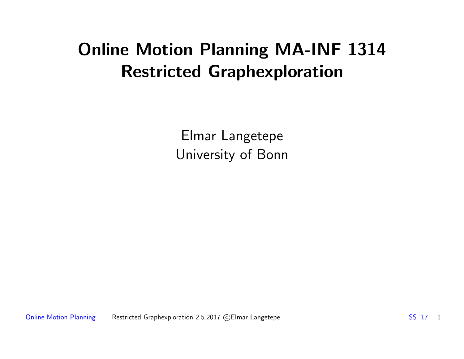### Online Motion Planning MA-INF 1314 Restricted Graphexploration

Elmar Langetepe University of Bonn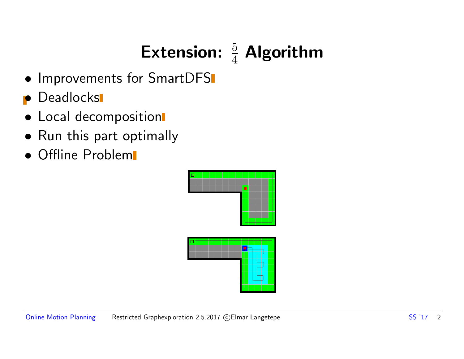# Extension:  $\frac{5}{4}$  Algorithm

- Improvements for SmartDFS
- **•** Deadlocks
- Local decomposition
- Run this part optimally
- Offline Problem

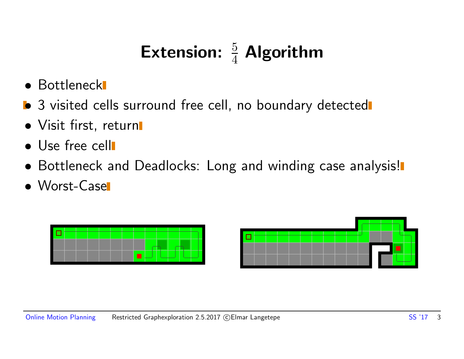## Extension:  $\frac{5}{4}$  Algorithm

- Bottleneck
- **•** 3 visited cells surround free cell, no boundary detected
- Visit first, return
- Use free cell
- Bottleneck and Deadlocks: Long and winding case analysis!
- Worst-Case

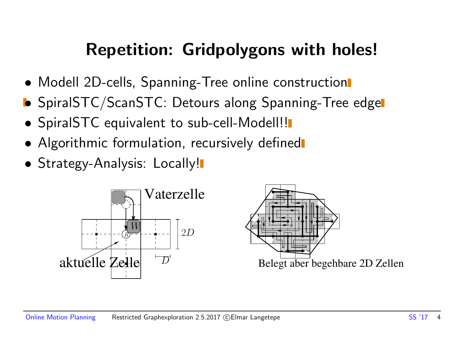#### Repetition: Gridpolygons with holes!

- Modell 2D-cells, Spanning-Tree online construction
- **•** SpiralSTC/ScanSTC: Detours along Spanning-Tree edge
- SpiralSTC equivalent to sub-cell-Modell!!
- Algorithmic formulation, recursively defined
- Strategy-Analysis: Locally!

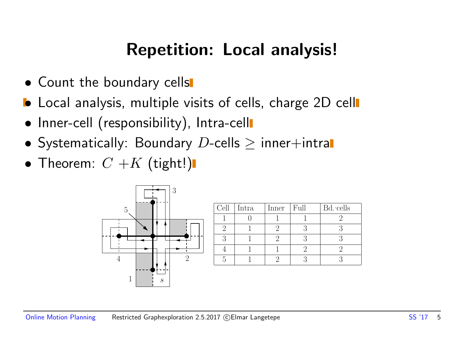#### Repetition: Local analysis!

- Count the boundary cells
- Local analysis, multiple visits of cells, charge 2D cell
- Inner-cell (responsibility), Intra-cell
- Systematically: Boundary  $D$ -cells  $\geq$  inner+intral
- Theorem:  $C + K$  (tight!)



| Cell | Intra | Inner | Full | Bd.-cells |
|------|-------|-------|------|-----------|
|      |       |       |      |           |
|      |       |       |      |           |
|      |       |       |      |           |
|      |       |       |      |           |
|      |       |       |      |           |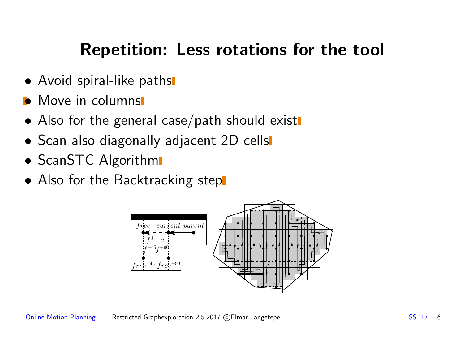#### Repetition: Less rotations for the tool

- Avoid spiral-like paths
- Move in columns
- Also for the general case/path should exist
- Scan also diagonally adjacent 2D cells
- ScanSTC Algorithm
- Also for the Backtracking stepl

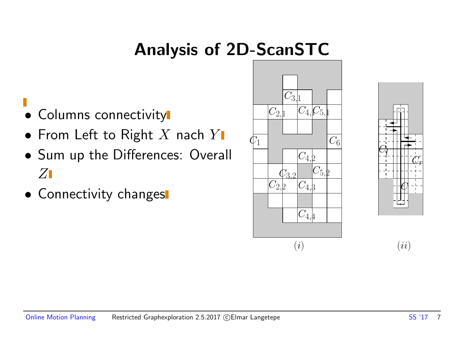## Analysis of 2D-ScanSTC

- Columns connectivity
- From Left to Right X nach  $Y$
- Sum up the Differences: Overall  $Z$
- Connectivity changes



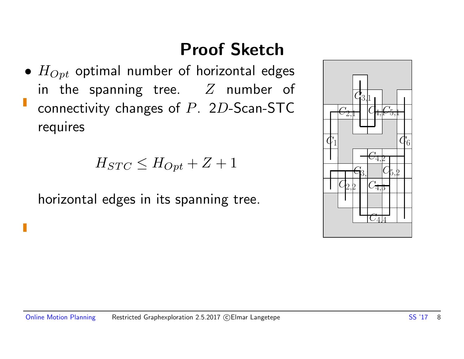## Proof Sketch

•  $H_{Opt}$  optimal number of horizontal edges in the spanning tree.  $Z$  number of connectivity changes of P. 2D-Scan-STC requires

$$
H_{STC} \leq H_{Opt} + Z + 1
$$

horizontal edges in its spanning tree.

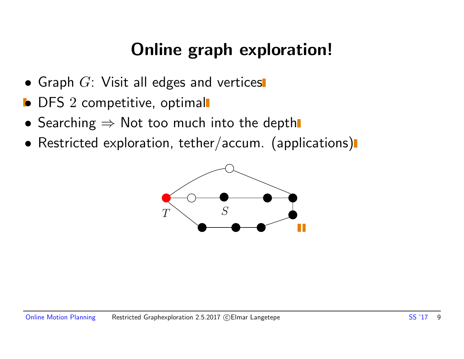### Online graph exploration!

- Graph  $G$ : Visit all edges and vertices
- **•** DFS 2 competitive, optimal
- Searching  $\Rightarrow$  Not too much into the depth
- Restricted exploration, tether/accum. (applications)

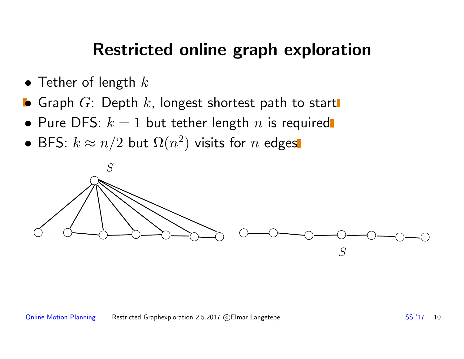#### Restricted online graph exploration

- Tether of length  $k$
- **•** Graph  $G$ : Depth  $k$ , longest shortest path to start
- Pure DFS:  $k = 1$  but tether length n is required
- BFS:  $k \approx n/2$  but  $\Omega(n^2)$  visits for  $n$  edges

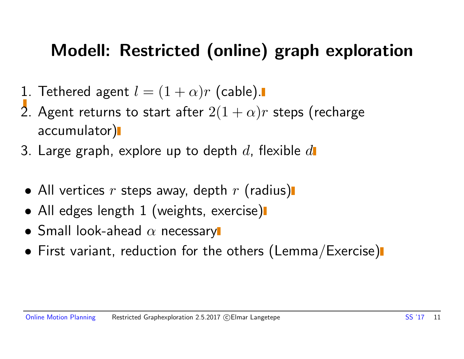#### Modell: Restricted (online) graph exploration

- 1. Tethered agent  $l = (1 + \alpha)r$  (cable).
- 2. Agent returns to start after  $2(1 + \alpha)r$  steps (recharge accumulator)
- 3. Large graph, explore up to depth  $d$ , flexible  $d$
- All vertices  $r$  steps away, depth  $r$  (radius)
- All edges length 1 (weights, exercise)
- Small look-ahead  $\alpha$  necessary
- First variant, reduction for the others (Lemma/Exercise)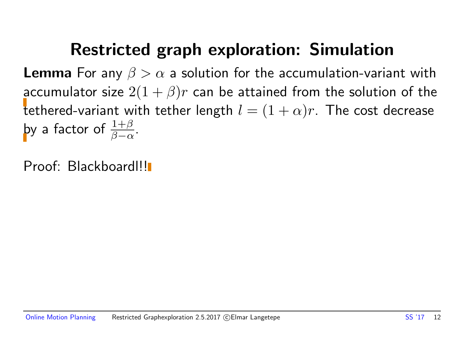#### Restricted graph exploration: Simulation

**Lemma** For any  $\beta > \alpha$  a solution for the accumulation-variant with accumulator size  $2(1 + \beta)r$  can be attained from the solution of the tethered-variant with tether length  $l = (1 + \alpha)r$ . The cost decrease by a factor of  $\frac{1+\beta}{\beta-\alpha}$ .

Proof: Blackboard!!!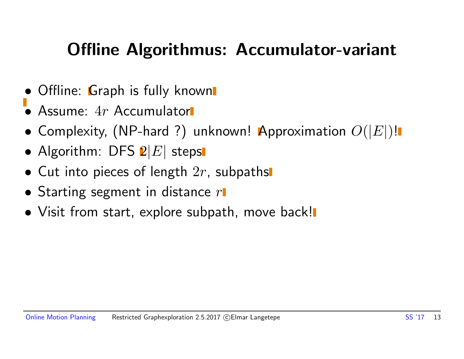#### Offline Algorithmus: Accumulator-variant

- Offline: Graph is fully known
- Assume: 4r Accumulator
- Complexity, (NP-hard ?) unknown! Approximation  $O(|E|)!$
- Algorithm: DFS  $2|E|$  steps
- Cut into pieces of length  $2r$ , subpaths
- Starting segment in distance  $r\blacksquare$
- Visit from start, explore subpath, move back!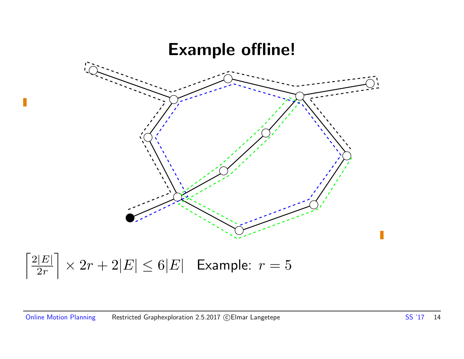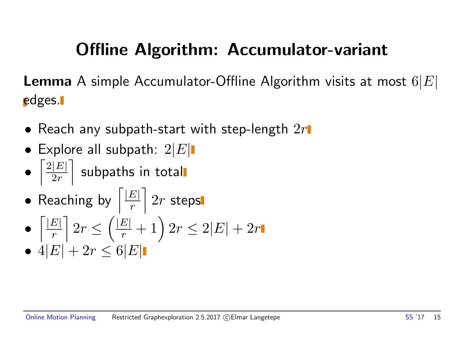## Offline Algorithm: Accumulator-variant

**Lemma** A simple Accumulator-Offline Algorithm visits at most  $6|E|$ edges.

- Reach any subpath-start with step-length  $2r$
- Explore all subpath:  $2|E|$
- $\lceil 2|E|$  $2r$  $\overline{\phantom{a}}$ subpaths in total
- Reaching by  $\sqrt{\frac{|E|}{r}}$ r  $\overline{\phantom{a}}$  $2r$  steps
- $\lceil |E|$ r  $\overline{\phantom{a}}$  $2r \leq$  $\left(\frac{|E|}{r} + 1\right)2r \leq 2|E| + 2r$
- $4|E| + 2r \leq 6|E|$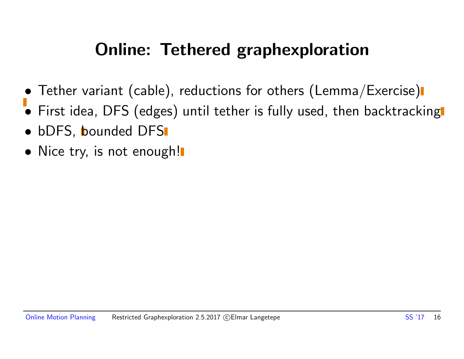### Online: Tethered graphexploration

- Tether variant (cable), reductions for others (Lemma/Exercise)
- First idea, DFS (edges) until tether is fully used, then backtracking
- bDFS, bounded DFS
- Nice try, is not enough!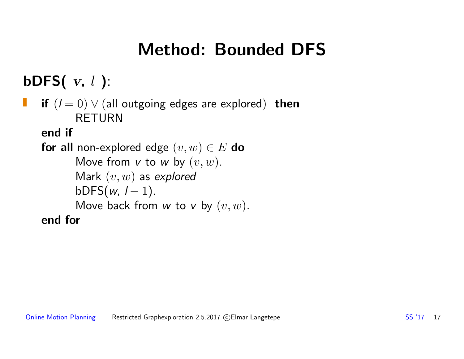### Method: Bounded DFS

bDFS $(v, l)$ :

if  $(l = 0)$   $\vee$  (all outgoing edges are explored) then RETURN

end if

```
for all non-explored edge (v, w) \in E do
      Move from v to w by (v, w).
      Mark (v, w) as explored
      bDFS(w, 1 - 1).
      Move back from w to v by (v, w).
end for
```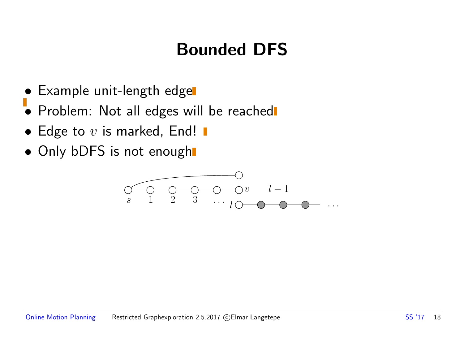## Bounded DFS

- Example unit-length edge
- Problem: Not all edges will be reached
- Edge to  $v$  is marked, End!  $\blacksquare$
- Only bDFS is not enough

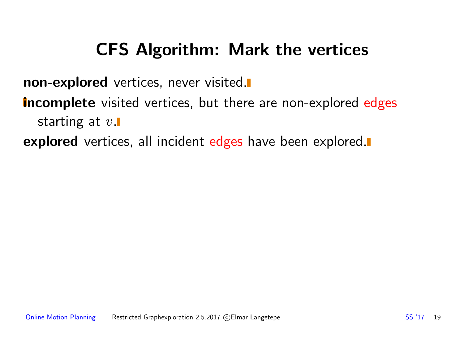#### CFS Algorithm: Mark the vertices

non-explored vertices, never visited.

**incomplete** visited vertices, but there are non-explored edges starting at  $v$ .

**explored** vertices, all incident edges have been explored.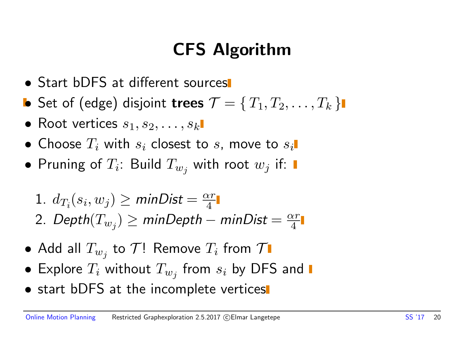## CFS Algorithm

 $\alpha r$ 4

- Start bDFS at different sources
- Set of (edge) disjoint trees  $\mathcal{T} = \{T_1, T_2, \ldots, T_k\}$
- Root vertices  $s_1, s_2, \ldots, s_k$
- Choose  $T_i$  with  $s_i$  closest to  $s_i$ , move to  $s_i$ .
- Pruning of  $T_i$ : Build  $T_{w_j}$  with root  $w_j$  if:

\n- 1. 
$$
d_{T_i}(s_i, w_j) \ge \text{minDist} = \frac{\alpha r}{4}
$$
\n- 2.  $\text{Depth}(T_{w_j}) \ge \text{minDepth} - \text{minDist} =$
\n

- $\bullet$  Add all  $T_{w_j}$  to  $\mathcal{T}!$  Remove  $T_i$  from  $\mathcal T$
- $\bullet\,$  Explore  $T_i$  without  $T_{w_j}$  from  $s_i$  by DFS and
- start bDFS at the incomplete vertices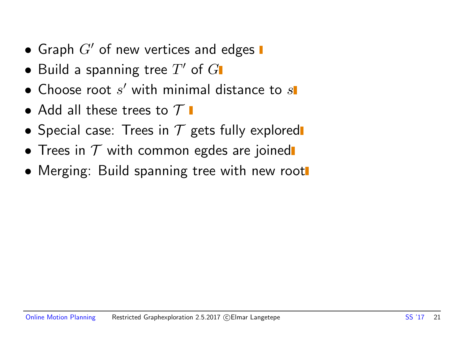- Graph  $G'$  of new vertices and edges  $\blacksquare$
- $\bullet$  Build a spanning tree  $T'$  of  $G$
- $\bullet$  Choose root  $s'$  with minimal distance to  $s$
- Add all these trees to  $\mathcal T$   $\blacksquare$
- Special case: Trees in  $T$  gets fully explored
- Trees in  $T$  with common egdes are joined
- Merging: Build spanning tree with new root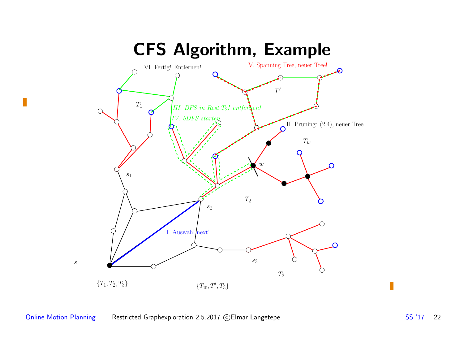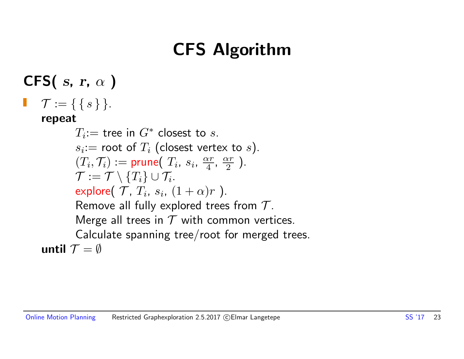## CFS Algorithm

CFS( $s, r, \alpha$ )  $\mathcal{T} := \{ \{ s \} \}.$ repeat  $T_i$ := tree in  $G^*$  closest to  $s$ .  $s_i$ : $=$  root of  $T_i$  (closest vertex to  $s$ ).  $(T_i, \mathcal{T}_i) := \textsf{prune}(T_i, s_i, \frac{\alpha r}{4})$  $\frac{\alpha r}{4}$ ,  $\frac{\alpha r}{2}$  $\frac{\alpha r}{2}$ ).  $\mathcal{T}:=\mathcal{T}\setminus\{T_i\}\cup\mathcal{T}_i.$ explore $(\mathcal{T}, T_i, s_i, (1+\alpha)r$  ). Remove all fully explored trees from  $T$ . Merge all trees in  $T$  with common vertices. Calculate spanning tree/root for merged trees. until  $\mathcal{T} = \emptyset$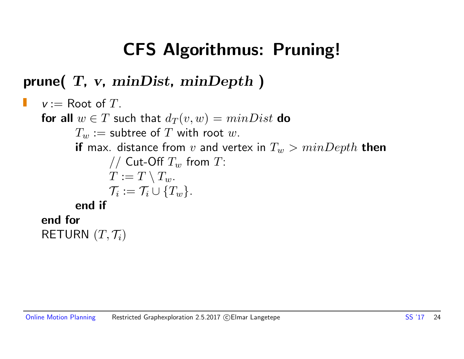### CFS Algorithmus: Pruning!

#### prune(  $T$ ,  $v$ ,  $minDist$ ,  $minDepth$ )

```
v := Root of T.
Ш
   for all w \in T such that d_T(v, w) = minDist do
           T_w := subtree of T with root w.
           if max. distance from v and vertex in T_w > minDepth then
                   // Cut-Off T_w from T:
                   T := T \setminus T_w.
                   \mathcal{T}_i := \mathcal{T}_i \cup \{T_w\}.end if
   end for
    RETURN (T, \mathcal{T}_i)
```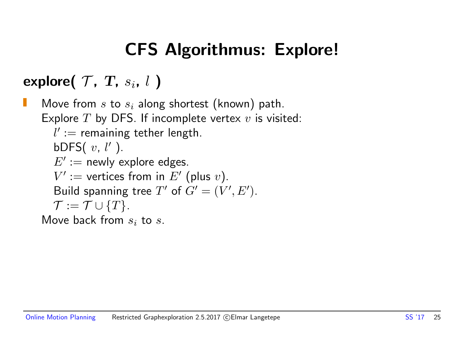## CFS Algorithmus: Explore!

explore( $\mathcal{T}$ ,  $T$ ,  $s_i$ ,  $l$ )

Move from  $s$  to  $s_i$  along shortest (known) path. Explore  $T$  by DFS. If incomplete vertex  $v$  is visited:  $l' :=$  remaining tether length. bDFS $(v, l')$ .  $E' :=$  newly explore edges.  $V' :=$  vertices from in  $E'$  (plus v). Build spanning tree T' of  $G' = (V', E')$ .  $\mathcal{T} := \mathcal{T} \cup \{T\}.$ Move back from  $s_i$  to s.